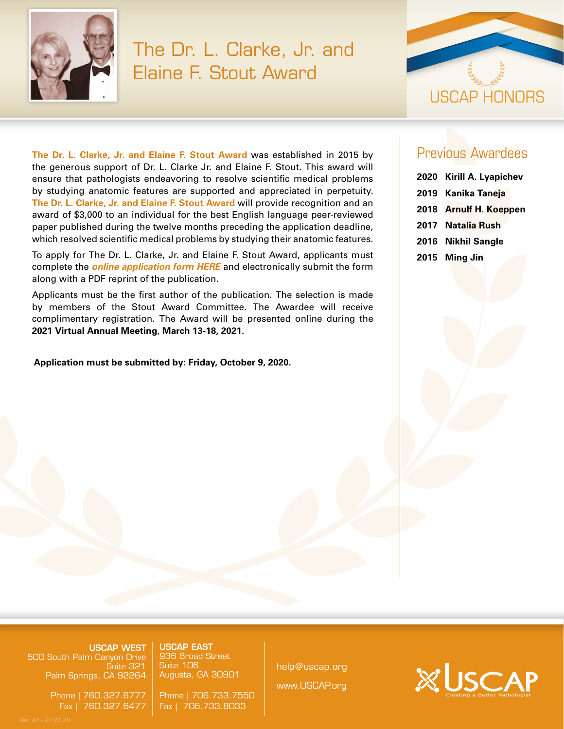

## The Dr. L. Clarke, Jr. and Elaine F. Stout Award



**The Dr. L. Clarke, Jr. and Elaine F. Stout Award** was established in 2015 by the generous support of Dr. L. Clarke Jr. and Elaine F. Stout. This award will ensure that pathologists endeavoring to resolve scientific medical problems by studying anatomic features are supported and appreciated in perpetuity. **The Dr. L. Clarke, Jr. and Elaine F. Stout Award** will provide recognition and an award of \$3,000 to an individual for the best English language peer-reviewed paper published during the twelve months preceding the application deadline, which resolved scientific medical problems by studying their anatomic features.

To apply for The Dr. L. Clarke, Jr. and Elaine F. Stout Award, applicants must complete the *[online application form HERE](https://www.xcdsystem.com/uscap/abstract/index.cfm?ID=0cRrD3k)* and electronically submit the form along with a PDF reprint of the publication.

Applicants must be the first author of the publication. The selection is made by members of the Stout Award Committee. The Awardee will receive complimentary registration. The Award will be presented online during the **2021 Virtual Annual Meeting**, **March 13-18, 2021**.

USCAP EAST

USCAP EAST 936 Broad Street

Phone | 706.733.7550 Fax | 706.733.8033

## **Application must be submitted by: Friday, October 9, 2020.**

## Previous Awardees

| 2020 Kirill A. Lyapichev |
|--------------------------|
| 2019 Kanika Taneja       |
| 2018 Arnulf H. Koeppen   |
| 2017 Natalia Rush        |
| 2016 Nikhil Sangle       |

**2015 Ming Jin**

**USCAP WEST** 500 South Palm Canyon Drive Suite 321 Palm Springs, CA 92264

500 South Palm Canyon Drive

USCAP WEST

Phone | 760.327.6777 Fax | 760.327.6477

936 Broad Street Suite 106 Phone | 706.733.7550 Augusta, GA 30901 help@uscap.org www.USCAP.org